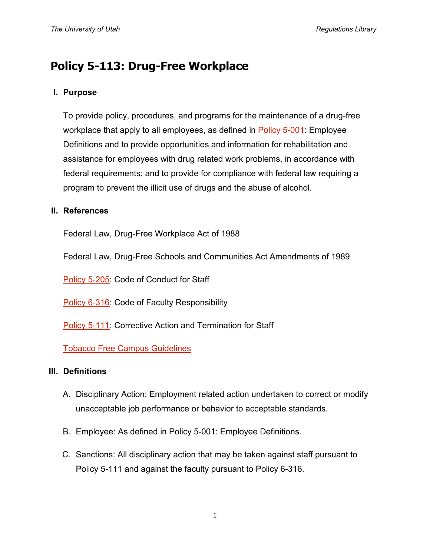# **Policy 5-113: Drug-Free Workplace**

## **I. Purpose**

To provide policy, procedures, and programs for the maintenance of a drug-free workplace that apply to all employees, as defined in [Policy 5-001:](http://regulations.utah.edu/human-resources/5-001.php) Employee Definitions and to provide opportunities and information for rehabilitation and assistance for employees with drug related work problems, in accordance with federal requirements; and to provide for compliance with federal law requiring a program to prevent the illicit use of drugs and the abuse of alcohol.

### **II. References**

Federal Law, Drug-Free Workplace Act of 1988

Federal Law, Drug-Free Schools and Communities Act Amendments of 1989

[Policy 5-205:](http://regulations.utah.edu/human-resources/5-205.php) Code of Conduct for Staff

[Policy 6-316:](http://regulations.utah.edu/academics/6-316.php) Code of Faculty Responsibility

[Policy 5-111:](http://regulations.utah.edu/human-resources/5-111.php) Corrective Action and Termination for Staff

[Tobacco Free Campus Guidelines](http://regulations.utah.edu/administration/guidelines_3/tobaccoFree.php)

## **III. Definitions**

- A. Disciplinary Action: Employment related action undertaken to correct or modify unacceptable job performance or behavior to acceptable standards.
- B. Employee: As defined in Policy 5-001: Employee Definitions.
- C. Sanctions: All disciplinary action that may be taken against staff pursuant to Policy 5-111 and against the faculty pursuant to Policy 6-316.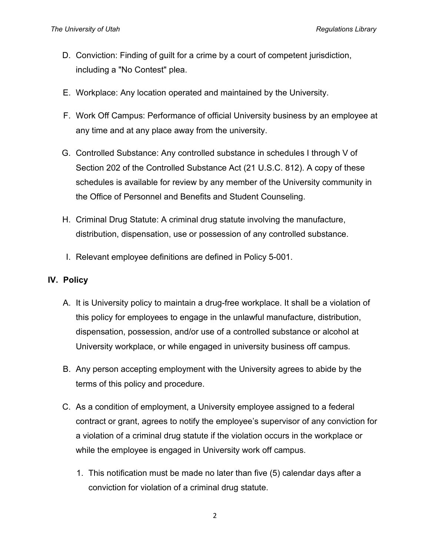- D. Conviction: Finding of guilt for a crime by a court of competent jurisdiction, including a "No Contest" plea.
- E. Workplace: Any location operated and maintained by the University.
- F. Work Off Campus: Performance of official University business by an employee at any time and at any place away from the university.
- G. Controlled Substance: Any controlled substance in schedules I through V of Section 202 of the Controlled Substance Act (21 U.S.C. 812). A copy of these schedules is available for review by any member of the University community in the Office of Personnel and Benefits and Student Counseling.
- H. Criminal Drug Statute: A criminal drug statute involving the manufacture, distribution, dispensation, use or possession of any controlled substance.
- I. Relevant employee definitions are defined in Policy 5-001.

#### **IV. Policy**

- A. It is University policy to maintain a drug-free workplace. It shall be a violation of this policy for employees to engage in the unlawful manufacture, distribution, dispensation, possession, and/or use of a controlled substance or alcohol at University workplace, or while engaged in university business off campus.
- B. Any person accepting employment with the University agrees to abide by the terms of this policy and procedure.
- C. As a condition of employment, a University employee assigned to a federal contract or grant, agrees to notify the employee's supervisor of any conviction for a violation of a criminal drug statute if the violation occurs in the workplace or while the employee is engaged in University work off campus.
	- 1. This notification must be made no later than five (5) calendar days after a conviction for violation of a criminal drug statute.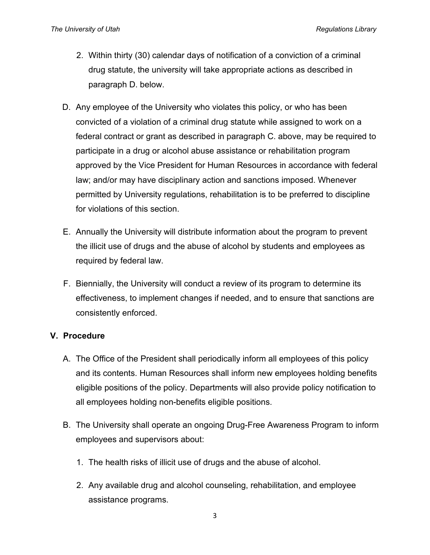- 2. Within thirty (30) calendar days of notification of a conviction of a criminal drug statute, the university will take appropriate actions as described in paragraph D. below.
- D. Any employee of the University who violates this policy, or who has been convicted of a violation of a criminal drug statute while assigned to work on a federal contract or grant as described in paragraph C. above, may be required to participate in a drug or alcohol abuse assistance or rehabilitation program approved by the Vice President for Human Resources in accordance with federal law; and/or may have disciplinary action and sanctions imposed. Whenever permitted by University regulations, rehabilitation is to be preferred to discipline for violations of this section.
- E. Annually the University will distribute information about the program to prevent the illicit use of drugs and the abuse of alcohol by students and employees as required by federal law.
- F. Biennially, the University will conduct a review of its program to determine its effectiveness, to implement changes if needed, and to ensure that sanctions are consistently enforced.

## **V. Procedure**

- A. The Office of the President shall periodically inform all employees of this policy and its contents. Human Resources shall inform new employees holding benefits eligible positions of the policy. Departments will also provide policy notification to all employees holding non-benefits eligible positions.
- B. The University shall operate an ongoing Drug-Free Awareness Program to inform employees and supervisors about:
	- 1. The health risks of illicit use of drugs and the abuse of alcohol.
	- 2. Any available drug and alcohol counseling, rehabilitation, and employee assistance programs.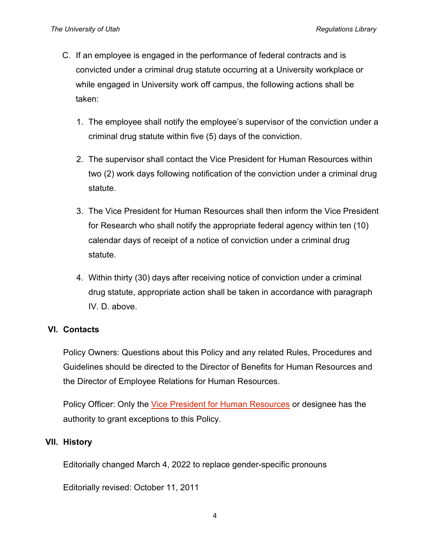- C. If an employee is engaged in the performance of federal contracts and is convicted under a criminal drug statute occurring at a University workplace or while engaged in University work off campus, the following actions shall be taken:
	- 1. The employee shall notify the employee's supervisor of the conviction under a criminal drug statute within five (5) days of the conviction.
	- 2. The supervisor shall contact the Vice President for Human Resources within two (2) work days following notification of the conviction under a criminal drug statute.
	- 3. The Vice President for Human Resources shall then inform the Vice President for Research who shall notify the appropriate federal agency within ten (10) calendar days of receipt of a notice of conviction under a criminal drug statute.
	- 4. Within thirty (30) days after receiving notice of conviction under a criminal drug statute, appropriate action shall be taken in accordance with paragraph IV. D. above.

## **VI. Contacts**

Policy Owners: Questions about this Policy and any related Rules, Procedures and Guidelines should be directed to the Director of Benefits for Human Resources and the Director of Employee Relations for Human Resources.

Policy Officer: Only the [Vice President for Human Resources](http://regulations.utah.edu/info/index.php) or designee has the authority to grant exceptions to this Policy.

## **VII. History**

Editorially changed March 4, 2022 to replace gender-specific pronouns

Editorially revised: October 11, 2011